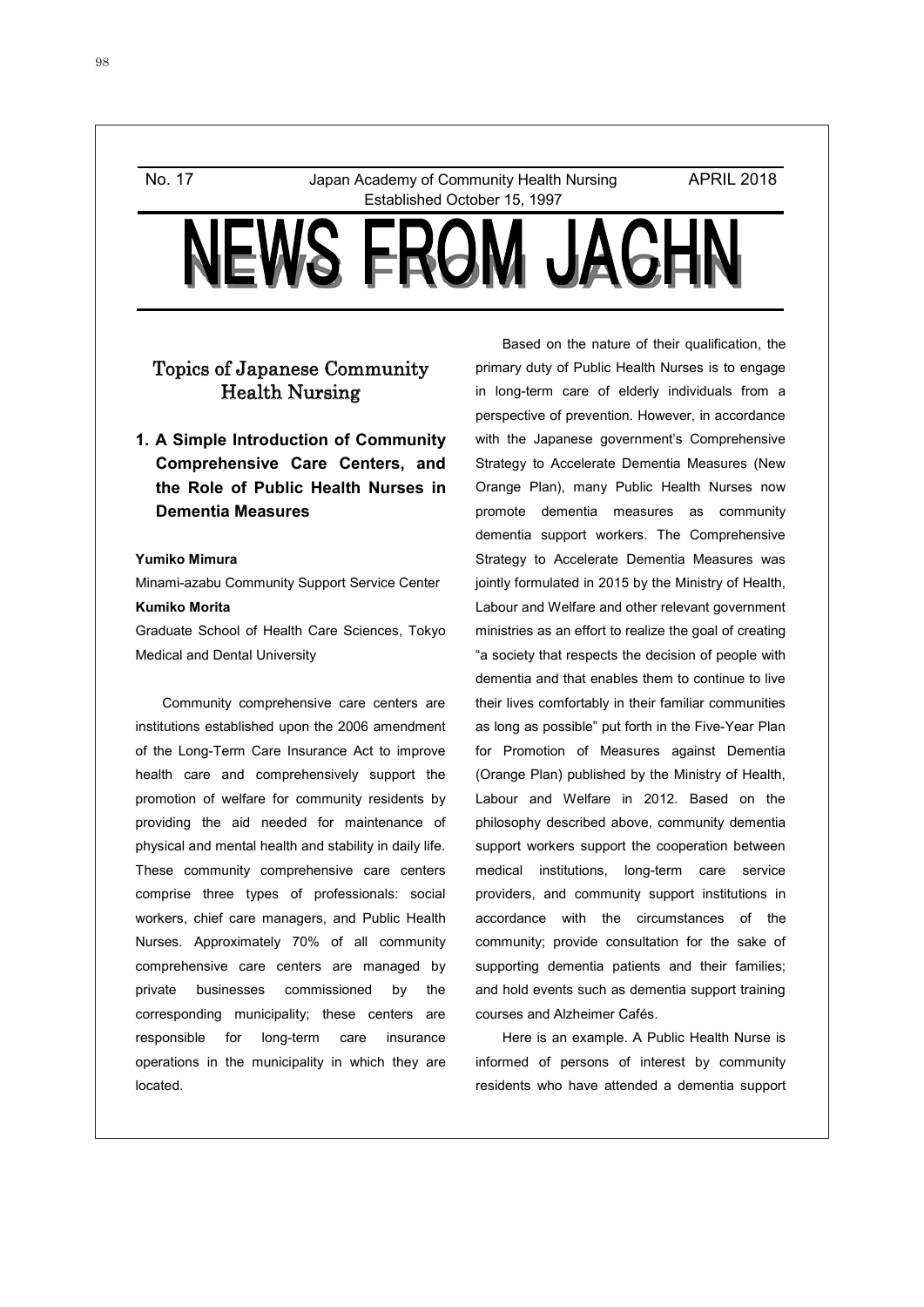No. 17 Japan Academy of Community Health Nursing Established October 15, 1997

APRIL 2018

# S FRAM JA

# Topics of Japanese Community Health Nursing

**1. A Simple Introduction of Community Comprehensive Care Centers, and the Role of Public Health Nurses in Dementia Measures** 

## **Yumiko Mimura**

Minami-azabu Community Support Service Center **Kumiko Morita** 

Graduate School of Health Care Sciences, Tokyo Medical and Dental University

Community comprehensive care centers are institutions established upon the 2006 amendment of the Long-Term Care Insurance Act to improve health care and comprehensively support the promotion of welfare for community residents by providing the aid needed for maintenance of physical and mental health and stability in daily life. These community comprehensive care centers comprise three types of professionals: social workers, chief care managers, and Public Health Nurses. Approximately 70% of all community comprehensive care centers are managed by private businesses commissioned by the corresponding municipality; these centers are responsible for long-term care insurance operations in the municipality in which they are located.

Based on the nature of their qualification, the primary duty of Public Health Nurses is to engage in long-term care of elderly individuals from a perspective of prevention. However, in accordance with the Japanese government's Comprehensive Strategy to Accelerate Dementia Measures (New Orange Plan), many Public Health Nurses now promote dementia measures as community dementia support workers. The Comprehensive Strategy to Accelerate Dementia Measures was jointly formulated in 2015 by the Ministry of Health, Labour and Welfare and other relevant government ministries as an effort to realize the goal of creating "a society that respects the decision of people with dementia and that enables them to continue to live their lives comfortably in their familiar communities as long as possible" put forth in the Five-Year Plan for Promotion of Measures against Dementia (Orange Plan) published by the Ministry of Health, Labour and Welfare in 2012. Based on the philosophy described above, community dementia support workers support the cooperation between medical institutions, long-term care service providers, and community support institutions in accordance with the circumstances of the community; provide consultation for the sake of supporting dementia patients and their families; and hold events such as dementia support training courses and Alzheimer Cafés.

Here is an example. A Public Health Nurse is informed of persons of interest by community residents who have attended a dementia support

1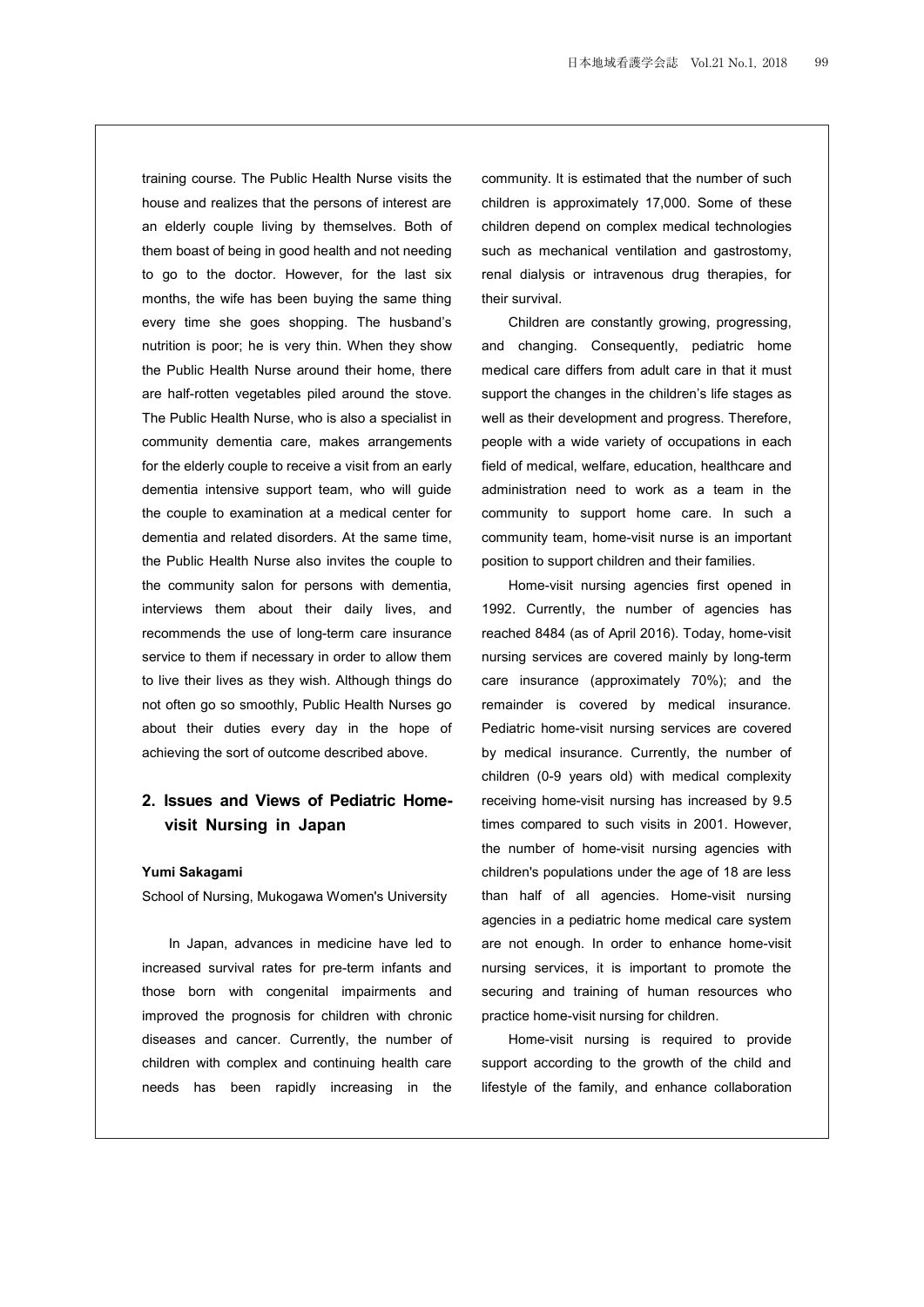training course. The Public Health Nurse visits the house and realizes that the persons of interest are an elderly couple living by themselves. Both of them boast of being in good health and not needing to go to the doctor. However, for the last six months, the wife has been buying the same thing every time she goes shopping. The husband's nutrition is poor; he is very thin. When they show the Public Health Nurse around their home, there are half-rotten vegetables piled around the stove. The Public Health Nurse, who is also a specialist in community dementia care, makes arrangements for the elderly couple to receive a visit from an early dementia intensive support team, who will guide the couple to examination at a medical center for dementia and related disorders. At the same time, the Public Health Nurse also invites the couple to the community salon for persons with dementia, interviews them about their daily lives, and recommends the use of long-term care insurance service to them if necessary in order to allow them to live their lives as they wish. Although things do not often go so smoothly, Public Health Nurses go about their duties every day in the hope of achieving the sort of outcome described above.

## **2. Issues and Views of Pediatric Homevisit Nursing in Japan**

#### **Yumi Sakagami**

School of Nursing, Mukogawa Women's University

In Japan, advances in medicine have led to increased survival rates for pre-term infants and those born with congenital impairments and improved the prognosis for children with chronic diseases and cancer. Currently, the number of children with complex and continuing health care needs has been rapidly increasing in the

community. It is estimated that the number of such children is approximately 17,000. Some of these children depend on complex medical technologies such as mechanical ventilation and gastrostomy, renal dialysis or intravenous drug therapies, for their survival.

Children are constantly growing, progressing, and changing. Consequently, pediatric home medical care differs from adult care in that it must support the changes in the children's life stages as well as their development and progress. Therefore, people with a wide variety of occupations in each field of medical, welfare, education, healthcare and administration need to work as a team in the community to support home care. In such a community team, home-visit nurse is an important position to support children and their families.

Home-visit nursing agencies first opened in 1992. Currently, the number of agencies has reached 8484 (as of April 2016). Today, home-visit nursing services are covered mainly by long-term care insurance (approximately 70%); and the remainder is covered by medical insurance. Pediatric home-visit nursing services are covered by medical insurance. Currently, the number of children (0-9 years old) with medical complexity receiving home-visit nursing has increased by 9.5 times compared to such visits in 2001. However, the number of home-visit nursing agencies with children's populations under the age of 18 are less than half of all agencies. Home-visit nursing agencies in a pediatric home medical care system are not enough. In order to enhance home-visit nursing services, it is important to promote the securing and training of human resources who practice home-visit nursing for children.

Home-visit nursing is required to provide support according to the growth of the child and lifestyle of the family, and enhance collaboration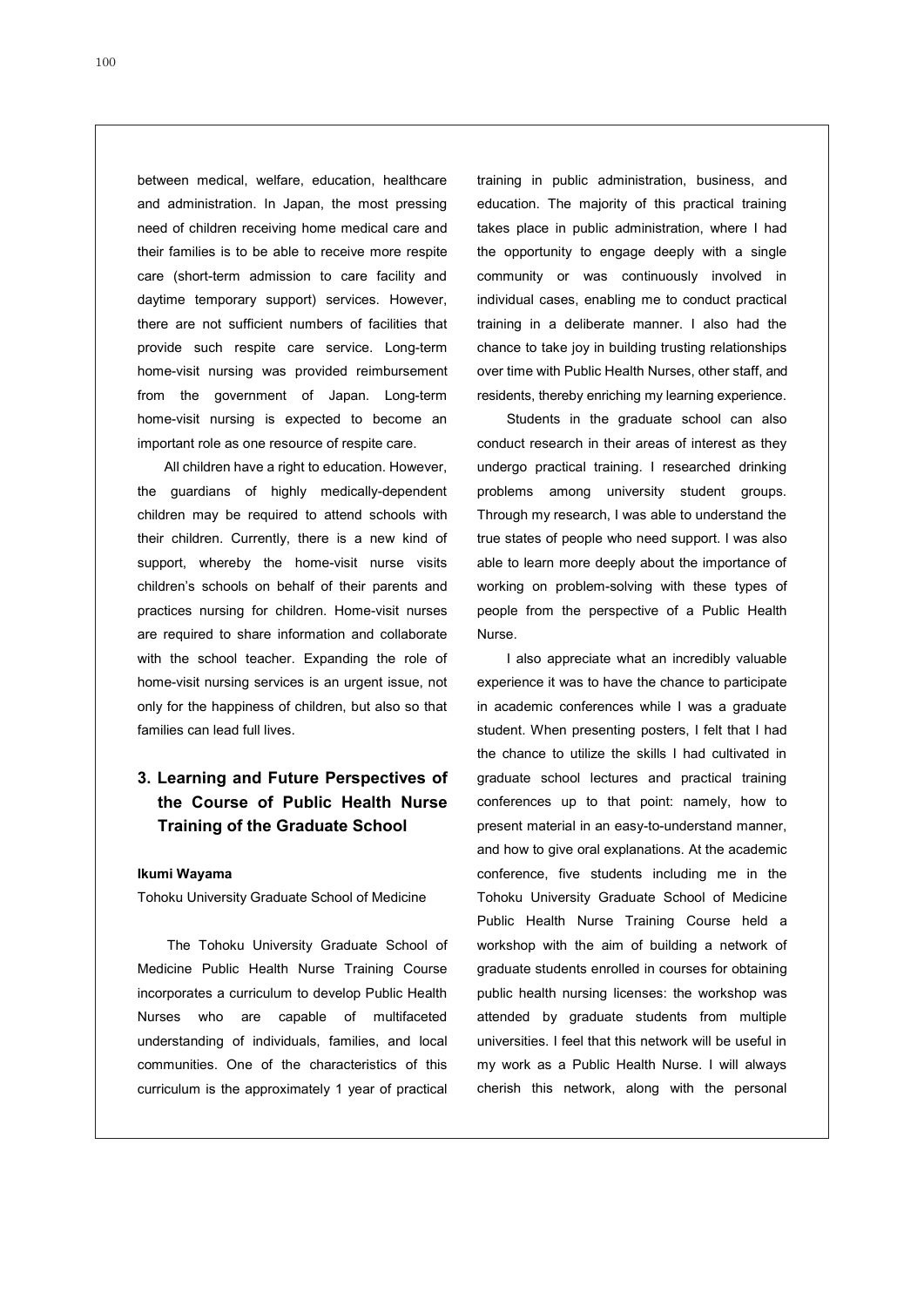between medical, welfare, education, healthcare and administration. In Japan, the most pressing need of children receiving home medical care and their families is to be able to receive more respite care (short-term admission to care facility and daytime temporary support) services. However, there are not sufficient numbers of facilities that provide such respite care service. Long-term home-visit nursing was provided reimbursement from the government of Japan. Long-term home-visit nursing is expected to become an important role as one resource of respite care.

All children have a right to education. However, the guardians of highly medically-dependent children may be required to attend schools with their children. Currently, there is a new kind of support, whereby the home-visit nurse visits children's schools on behalf of their parents and practices nursing for children. Home-visit nurses are required to share information and collaborate with the school teacher. Expanding the role of home-visit nursing services is an urgent issue, not only for the happiness of children, but also so that families can lead full lives.

# **3. Learning and Future Perspectives of the Course of Public Health Nurse Training of the Graduate School**

#### **Ikumi Wayama**

Tohoku University Graduate School of Medicine

The Tohoku University Graduate School of Medicine Public Health Nurse Training Course incorporates a curriculum to develop Public Health Nurses who are capable of multifaceted understanding of individuals, families, and local communities. One of the characteristics of this curriculum is the approximately 1 year of practical

training in public administration, business, and education. The majority of this practical training takes place in public administration, where I had the opportunity to engage deeply with a single community or was continuously involved in individual cases, enabling me to conduct practical training in a deliberate manner. I also had the chance to take joy in building trusting relationships over time with Public Health Nurses, other staff, and residents, thereby enriching my learning experience.

Students in the graduate school can also conduct research in their areas of interest as they undergo practical training. I researched drinking problems among university student groups. Through my research, I was able to understand the true states of people who need support. I was also able to learn more deeply about the importance of working on problem-solving with these types of people from the perspective of a Public Health Nurse.

I also appreciate what an incredibly valuable experience it was to have the chance to participate in academic conferences while I was a graduate student. When presenting posters, I felt that I had the chance to utilize the skills I had cultivated in graduate school lectures and practical training conferences up to that point: namely, how to present material in an easy-to-understand manner, and how to give oral explanations. At the academic conference, five students including me in the Tohoku University Graduate School of Medicine Public Health Nurse Training Course held a workshop with the aim of building a network of graduate students enrolled in courses for obtaining public health nursing licenses: the workshop was attended by graduate students from multiple universities. I feel that this network will be useful in my work as a Public Health Nurse. I will always cherish this network, along with the personal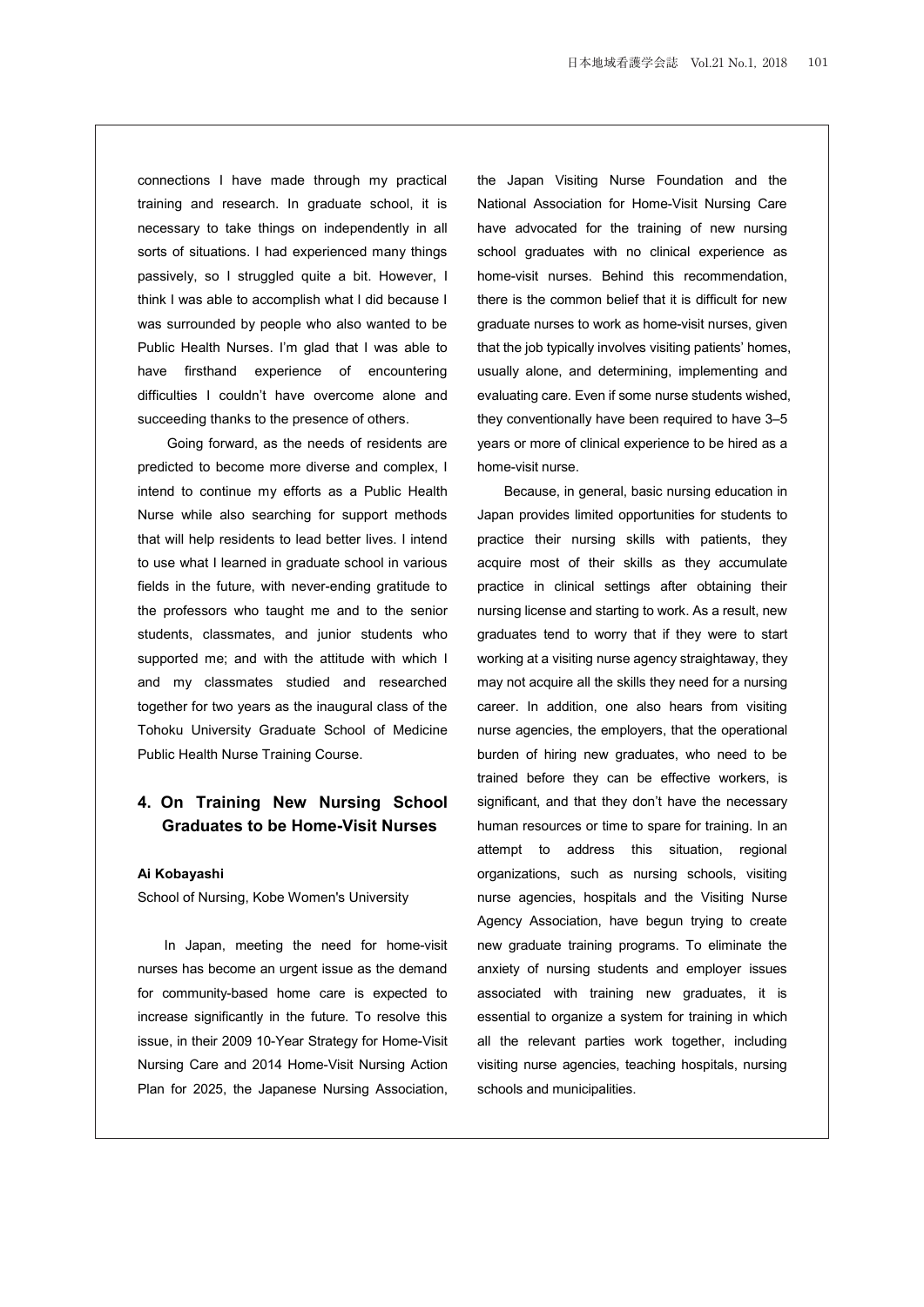connections I have made through my practical training and research. In graduate school, it is necessary to take things on independently in all sorts of situations. I had experienced many things passively, so I struggled quite a bit. However, I think I was able to accomplish what I did because I was surrounded by people who also wanted to be Public Health Nurses. I'm glad that I was able to have firsthand experience of encountering difficulties I couldn't have overcome alone and succeeding thanks to the presence of others.

Going forward, as the needs of residents are predicted to become more diverse and complex, I intend to continue my efforts as a Public Health Nurse while also searching for support methods that will help residents to lead better lives. I intend to use what I learned in graduate school in various fields in the future, with never-ending gratitude to the professors who taught me and to the senior students, classmates, and junior students who supported me; and with the attitude with which I and my classmates studied and researched together for two years as the inaugural class of the Tohoku University Graduate School of Medicine Public Health Nurse Training Course.

## **4. On Training New Nursing School Graduates to be Home-Visit Nurses**

#### **Ai Kobayashi**

School of Nursing, Kobe Women's University

In Japan, meeting the need for home-visit nurses has become an urgent issue as the demand for community-based home care is expected to increase significantly in the future. To resolve this issue, in their 2009 10-Year Strategy for Home-Visit Nursing Care and 2014 Home-Visit Nursing Action Plan for 2025, the Japanese Nursing Association,

the Japan Visiting Nurse Foundation and the National Association for Home-Visit Nursing Care have advocated for the training of new nursing school graduates with no clinical experience as home-visit nurses. Behind this recommendation, there is the common belief that it is difficult for new graduate nurses to work as home-visit nurses, given that the job typically involves visiting patients' homes, usually alone, and determining, implementing and evaluating care. Even if some nurse students wished, they conventionally have been required to have 3-5 years or more of clinical experience to be hired as a home-visit nurse.

Because, in general, basic nursing education in Japan provides limited opportunities for students to practice their nursing skills with patients, they acquire most of their skills as they accumulate practice in clinical settings after obtaining their nursing license and starting to work. As a result, new graduates tend to worry that if they were to start working at a visiting nurse agency straightaway, they may not acquire all the skills they need for a nursing career. In addition, one also hears from visiting nurse agencies, the employers, that the operational burden of hiring new graduates, who need to be trained before they can be effective workers, is significant, and that they don't have the necessary human resources or time to spare for training. In an attempt to address this situation, regional organizations, such as nursing schools, visiting nurse agencies, hospitals and the Visiting Nurse Agency Association, have begun trying to create new graduate training programs. To eliminate the anxiety of nursing students and employer issues associated with training new graduates, it is essential to organize a system for training in which all the relevant parties work together, including visiting nurse agencies, teaching hospitals, nursing schools and municipalities.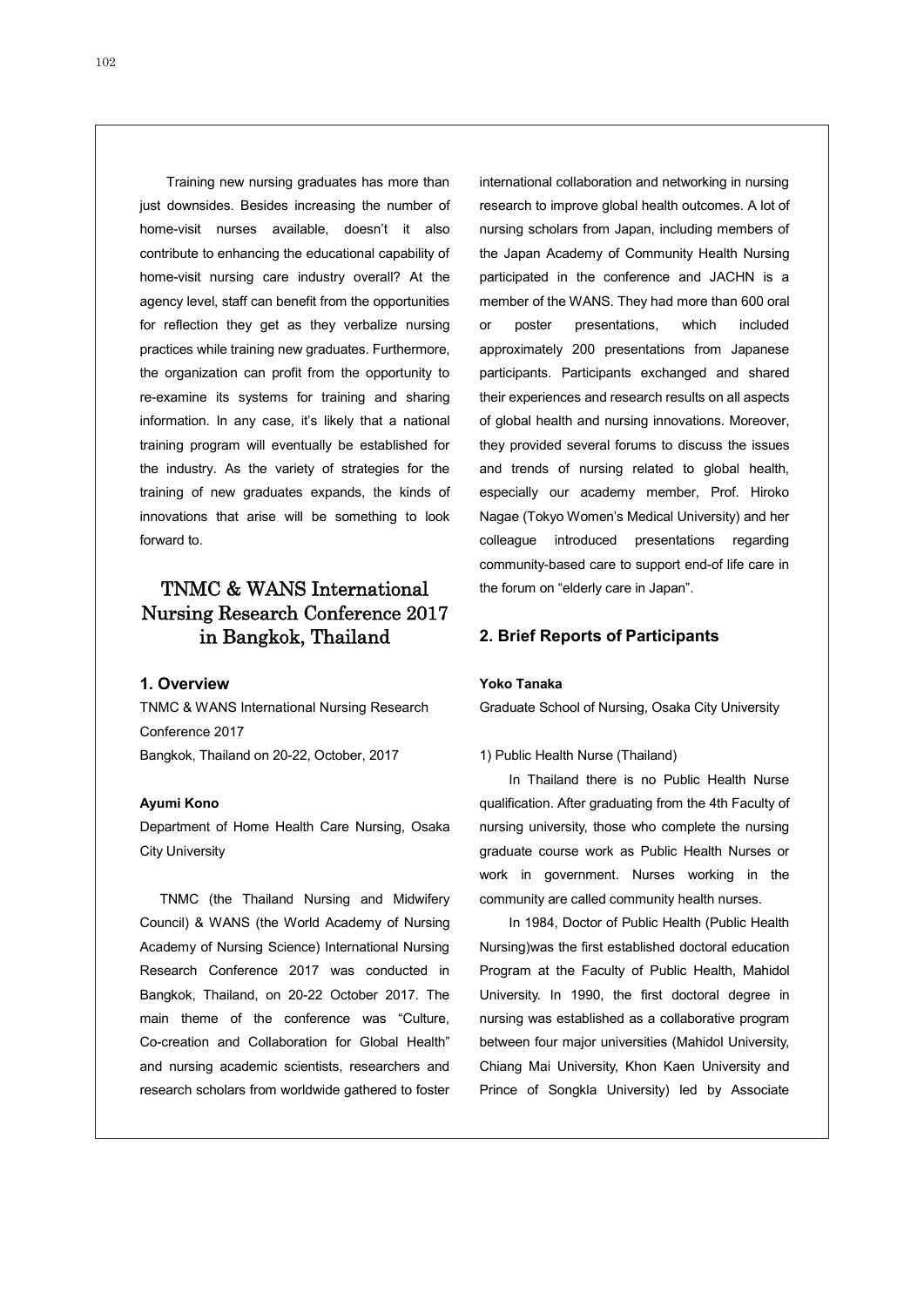Training new nursing graduates has more than just downsides. Besides increasing the number of home-visit nurses available, doesn't it also contribute to enhancing the educational capability of home-visit nursing care industry overall? At the agency level, staff can benefit from the opportunities for reflection they get as they verbalize nursing practices while training new graduates. Furthermore, the organization can profit from the opportunity to re-examine its systems for training and sharing information. In any case, it's likely that a national training program will eventually be established for the industry. As the variety of strategies for the training of new graduates expands, the kinds of innovations that arise will be something to look forward to.

# TNMC & WANS International Nursing Research Conference 2017 in Bangkok, Thailand

#### **1. Overview**

TNMC & WANS International Nursing Research Conference 2017 Bangkok, Thailand on 20-22, October, 2017

#### **Ayumi Kono**

Department of Home Health Care Nursing, Osaka City University

TNMC (the Thailand Nursing and Midwifery Council) & WANS (the World Academy of Nursing Academy of Nursing Science) International Nursing Research Conference 2017 was conducted in Bangkok, Thailand, on 20-22 October 2017. The main theme of the conference was "Culture, Co-creation and Collaboration for Global Health" and nursing academic scientists, researchers and research scholars from worldwide gathered to foster international collaboration and networking in nursing research to improve global health outcomes. A lot of nursing scholars from Japan, including members of the Japan Academy of Community Health Nursing participated in the conference and JACHN is a member of the WANS. They had more than 600 oral or poster presentations, which included approximately 200 presentations from Japanese participants. Participants exchanged and shared their experiences and research results on all aspects of global health and nursing innovations. Moreover, they provided several forums to discuss the issues and trends of nursing related to global health, especially our academy member, Prof. Hiroko Nagae (Tokyo Women's Medical University) and her colleague introduced presentations regarding community-based care to support end-of life care in the forum on "elderly care in Japan".

### **2. Brief Reports of Participants**

#### **Yoko Tanaka**

Graduate School of Nursing, Osaka City University

#### 1) Public Health Nurse (Thailand)

In Thailand there is no Public Health Nurse qualification. After graduating from the 4th Faculty of nursing university, those who complete the nursing graduate course work as Public Health Nurses or work in government. Nurses working in the community are called community health nurses.

In 1984, Doctor of Public Health (Public Health Nursing)was the first established doctoral education Program at the Faculty of Public Health, Mahidol University. In 1990, the first doctoral degree in nursing was established as a collaborative program between four major universities (Mahidol University, Chiang Mai University, Khon Kaen University and Prince of Songkla University) led by Associate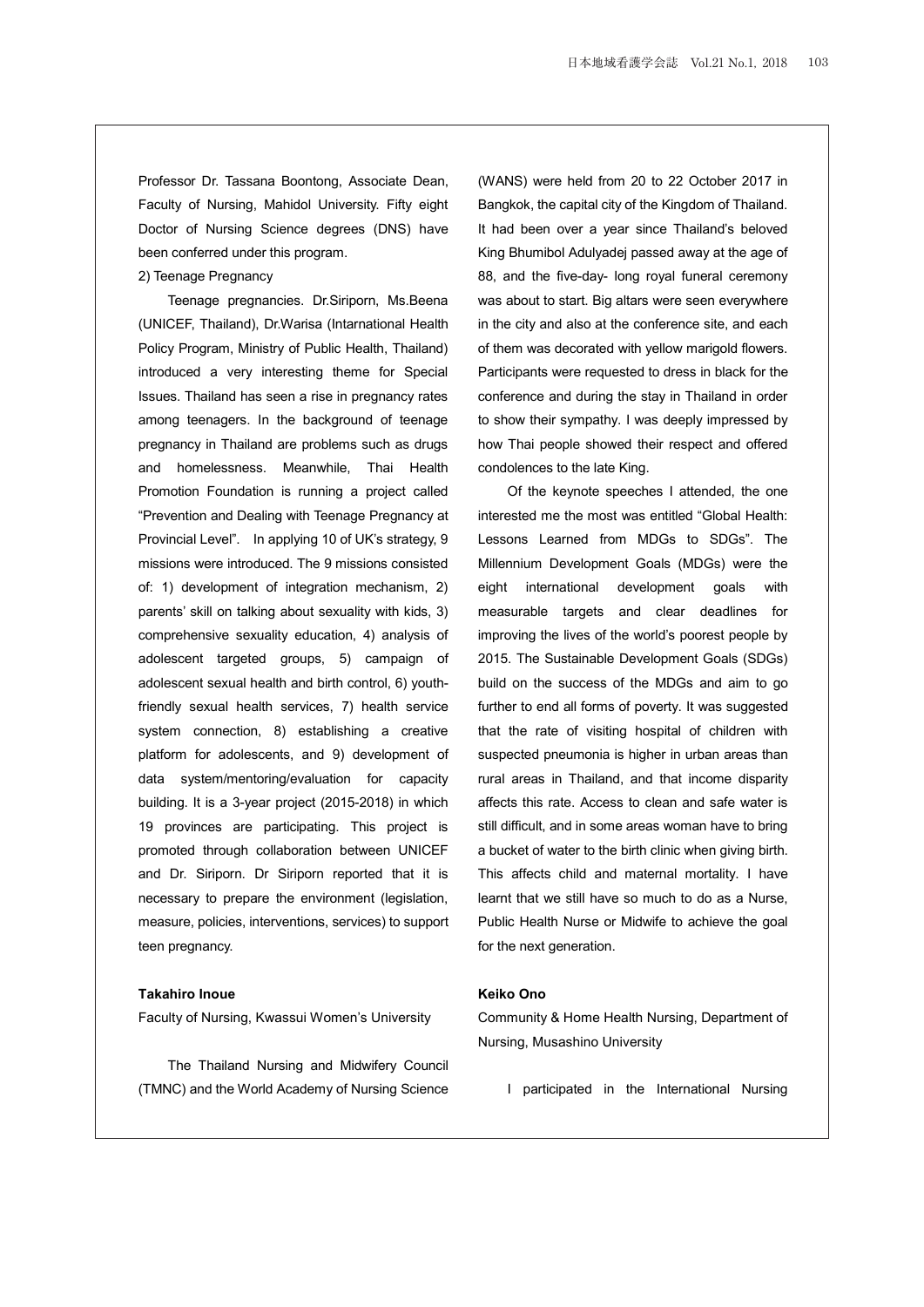Professor Dr. Tassana Boontong, Associate Dean, Faculty of Nursing, Mahidol University. Fifty eight Doctor of Nursing Science degrees (DNS) have been conferred under this program.

#### 2) Teenage Pregnancy

Teenage pregnancies. Dr.Siriporn, Ms.Beena (UNICEF, Thailand), Dr.Warisa (Intarnational Health Policy Program, Ministry of Public Health, Thailand) introduced a very interesting theme for Special Issues. Thailand has seen a rise in pregnancy rates among teenagers. In the background of teenage pregnancy in Thailand are problems such as drugs and homelessness. Meanwhile, Thai Health Promotion Foundation is running a project called "Prevention and Dealing with Teenage Pregnancy at Provincial Level". In applying 10 of UK's strategy, 9 missions were introduced. The 9 missions consisted of: 1) development of integration mechanism, 2) parents' skill on talking about sexuality with kids, 3) comprehensive sexuality education, 4) analysis of adolescent targeted groups, 5) campaign of adolescent sexual health and birth control, 6) youthfriendly sexual health services, 7) health service system connection, 8) establishing a creative platform for adolescents, and 9) development of data system/mentoring/evaluation for capacity building. It is a 3-year project (2015-2018) in which 19 provinces are participating. This project is promoted through collaboration between UNICEF and Dr. Siriporn. Dr Siriporn reported that it is necessary to prepare the environment (legislation, measure, policies, interventions, services) to support teen pregnancy.

## **Takahiro Inoue**

Faculty of Nursing, Kwassui Women's University

The Thailand Nursing and Midwifery Council (TMNC) and the World Academy of Nursing Science (WANS) were held from 20 to 22 October 2017 in Bangkok, the capital city of the Kingdom of Thailand. It had been over a year since Thailand's beloved King Bhumibol Adulyadej passed away at the age of 88, and the five-day- long royal funeral ceremony was about to start. Big altars were seen everywhere in the city and also at the conference site, and each of them was decorated with yellow marigold flowers. Participants were requested to dress in black for the conference and during the stay in Thailand in order to show their sympathy. I was deeply impressed by how Thai people showed their respect and offered condolences to the late King.

Of the keynote speeches I attended, the one interested me the most was entitled "Global Health: Lessons Learned from MDGs to SDGs". The Millennium Development Goals (MDGs) were the eight international development goals with measurable targets and clear deadlines for improving the lives of the world's poorest people by 2015. The Sustainable Development Goals (SDGs) build on the success of the MDGs and aim to go further to end all forms of poverty. It was suggested that the rate of visiting hospital of children with suspected pneumonia is higher in urban areas than rural areas in Thailand, and that income disparity affects this rate. Access to clean and safe water is still difficult, and in some areas woman have to bring a bucket of water to the birth clinic when giving birth. This affects child and maternal mortality. I have learnt that we still have so much to do as a Nurse, Public Health Nurse or Midwife to achieve the goal for the next generation.

## **Keiko Ono**

Community & Home Health Nursing, Department of Nursing, Musashino University

I participated in the International Nursing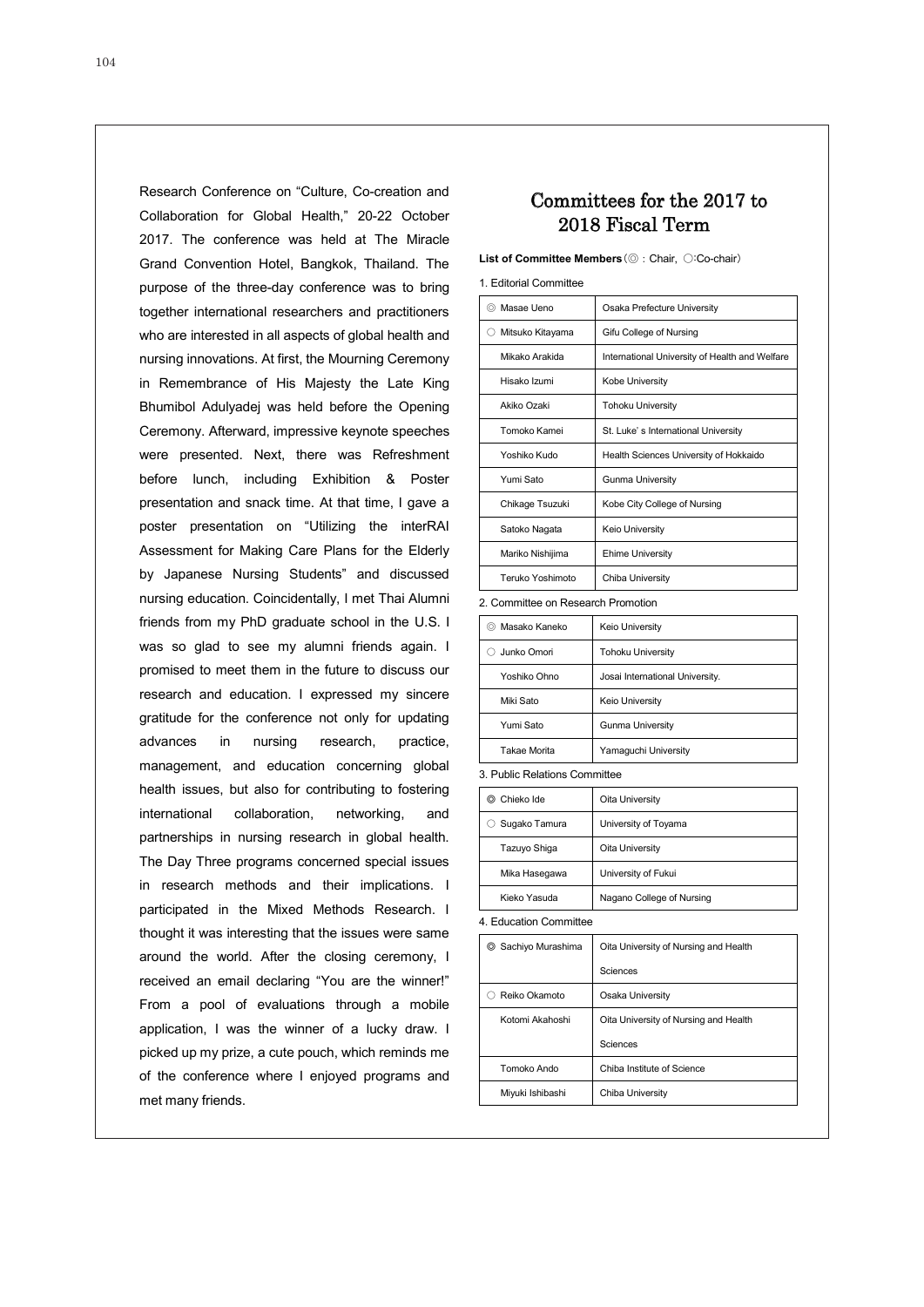Research Conference on "Culture, Co-creation and

Collaboration for Global Health," 20-22 October 2017. The conference was held at The Miracle Grand Convention Hotel, Bangkok, Thailand. The purpose of the three-day conference was to bring together international researchers and practitioners who are interested in all aspects of global health and nursing innovations. At first, the Mourning Ceremony in Remembrance of His Majesty the Late King Bhumibol Adulyadej was held before the Opening Ceremony. Afterward, impressive keynote speeches were presented. Next, there was Refreshment before lunch, including Exhibition & Poster presentation and snack time. At that time, I gave a poster presentation on "Utilizing the interRAI Assessment for Making Care Plans for the Elderly by Japanese Nursing Students" and discussed nursing education. Coincidentally, I met Thai Alumni friends from my PhD graduate school in the U.S. I was so glad to see my alumni friends again. I promised to meet them in the future to discuss our research and education. I expressed my sincere gratitude for the conference not only for updating advances in nursing research, practice, management, and education concerning global health issues, but also for contributing to fostering international collaboration, networking, and partnerships in nursing research in global health. The Day Three programs concerned special issues in research methods and their implications. I participated in the Mixed Methods Research. I thought it was interesting that the issues were same around the world. After the closing ceremony, I received an email declaring "You are the winner!" From a pool of evaluations through a mobile application, I was the winner of a lucky draw. I picked up my prize, a cute pouch, which reminds me of the conference where I enjoyed programs and met many friends.

# Committees for the 2017 to 2018 Fiscal Term

**List of Committee Members**(◎:Chair, ○:Co-chair)

| ◎ Masae Ueno     | Osaka Prefecture University                    |
|------------------|------------------------------------------------|
| Mitsuko Kitayama | Gifu College of Nursing                        |
| Mikako Arakida   | International University of Health and Welfare |
| Hisako Izumi     | Kobe University                                |
| Akiko Ozaki      | <b>Tohoku University</b>                       |
| Tomoko Kamei     | St. Luke's International University            |
| Yoshiko Kudo     | Health Sciences University of Hokkaido         |
| Yumi Sato        | <b>Gunma University</b>                        |
| Chikage Tsuzuki  | Kobe City College of Nursing                   |
| Satoko Nagata    | Keio University                                |
| Mariko Nishijima | <b>Ehime University</b>                        |
| Teruko Yoshimoto | Chiba University                               |

2. Committee on Research Promotion

| Masako Kaneko<br>$\circ$ | <b>Keio University</b>          |
|--------------------------|---------------------------------|
| Junko Omori              | <b>Tohoku University</b>        |
| Yoshiko Ohno             | Josai International University. |
| Miki Sato                | Keio University                 |
| Yumi Sato                | <b>Gunma University</b>         |
| <b>Takae Morita</b>      | Yamaguchi University            |

3. Public Relations Committee

| ⊚ Chieko Ide  | Oita University           |
|---------------|---------------------------|
| Sugako Tamura | University of Toyama      |
| Tazuyo Shiga  | Oita University           |
| Mika Hasegawa | University of Fukui       |
| Kieko Yasuda  | Nagano College of Nursing |

4. Education Committee

| Sachiyo Murashima<br>◎ | Oita University of Nursing and Health |
|------------------------|---------------------------------------|
|                        | Sciences                              |
| Reiko Okamoto          | Osaka University                      |
| Kotomi Akahoshi        | Oita University of Nursing and Health |
|                        | Sciences                              |
| Tomoko Ando            | Chiba Institute of Science            |
| Miyuki Ishibashi       | Chiba University                      |